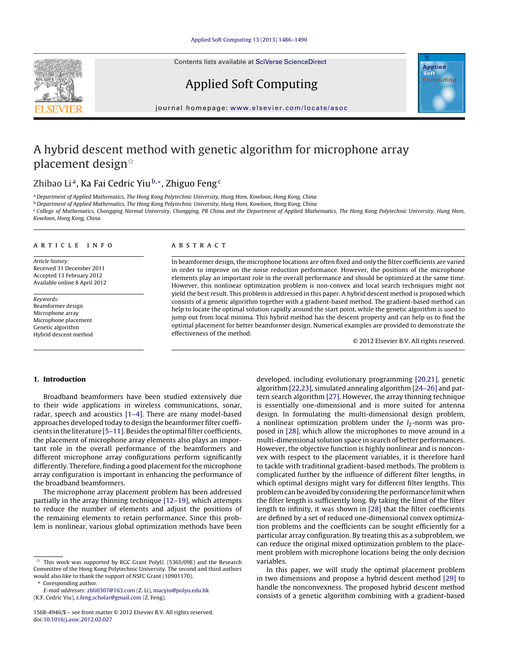Contents lists available at SciVerse [ScienceDirect](http://www.sciencedirect.com/science/journal/15684946)





Applied Soft Computing

#### iournal homepage: <www.elsevier.com/locate/asoc>

## A hybrid descent method with genetic algorithm for microphone array placement design $^{\star}$

### Zhibao Li<sup>a</sup>, Ka Fai Cedric Yiu<sup>b,∗</sup>, Zhiguo Feng<sup>c</sup>

a Department of Applied Mathematics, The Hong Kong Polytechnic University, Hung Hom, Kowloon, Hong Kong, China

<sup>b</sup> Department of Applied Mathematics, The Hong Kong Polytechnic University, Hung Hom, Kowloon, Hong Kong, China

<sup>c</sup> College of Mathematics, Chongqing Normal University, Chongqing, PR China and the Department of Applied Mathematics, The Hong Kong Polytechnic University, Hung Hom, Kowloon, Hong Kong, China

#### a r t i c l e i n f o

Article history: Received 31 December 2011 Accepted 13 February 2012 Available online 8 April 2012

Keywords: Beamformer design Microphone array Microphone placement Genetic algorithm Hybrid descent method

#### A B S T R A C T

In beamformer design, the microphone locations are often fixed and only the filter coefficients are varied in order to improve on the noise reduction performance. However, the positions of the microphone elements play an important role in the overall performance and should be optimized at the same time. However, this nonlinear optimization problem is non-convex and local search techniques might not yield the best result. This problem is addressed in this paper. A hybrid descent method is proposed which consists of a genetic algorithm together with a gradient-based method. The gradient-based method can help to locate the optimal solution rapidly around the start point, while the genetic algorithm is used to jump out from local minima. This hybrid method has the descent property and can help us to find the optimal placement for better beamformer design. Numerical examples are provided to demonstrate the effectiveness of the method.

© 2012 Elsevier B.V. All rights reserved.

#### **1. Introduction**

Broadband beamformers have been studied extensively due to their wide applications in wireless communications, sonar, radar, speech and acoustics [\[1–4\].](#page--1-0) There are many model-based approaches developed today to design the beamformer filter coefficients in the literature [5-11]. Besides the optimal filter coefficients, the placement of microphone array elements also plays an important role in the overall performance of the beamformers and different microphone array configurations perform significantly differently. Therefore, finding a good placement for the microphone array configuration is important in enhancing the performance of the broadband beamformers.

The microphone array placement problem has been addressed partially in the array thinning technique [\[12–19\],](#page--1-0) which attempts to reduce the number of elements and adjust the positions of the remaining elements to retain performance. Since this problem is nonlinear, various global optimization methods have been

∗ Coresponding author.

developed, including evolutionary programming [\[20,21\],](#page--1-0) genetic algorithm [\[22,23\],](#page--1-0) simulated annealing algorithm [\[24–26\]](#page--1-0) and pattern search algorithm [\[27\].](#page--1-0) However, the array thinning technique is essentially one-dimensional and is more suited for antenna design. In formulating the multi-dimensional design problem, a nonlinear optimization problem under the  $l_2$ -norm was proposed in [\[28\],](#page--1-0) which allow the microphones to move around in a multi-dimensional solution space in search of better performances. However, the objective function is highly nonlinear and is nonconvex with respect to the placement variables, it is therefore hard to tackle with traditional gradient-based methods. The problem is complicated further by the influence of different filter lengths, in which optimal designs might vary for different filter lengths. This problem can be avoided by considering the performance limit when the filter length is sufficiently long. By taking the limit of the filter length to infinity, it was shown in [\[28\]](#page--1-0) that the filter coefficients are defined by a set of reduced one-dimensional convex optimization problems and the coefficients can be sought efficiently for a particular array configuration. By treating this as a subproblem, we can reduce the original mixed optimization problem to the placement problem with microphone locations being the only decision variables.

In this paper, we will study the optimal placement problem in two dimensions and propose a hybrid descent method [\[29\]](#page--1-0) to handle the nonconvexness. The proposed hybrid descent method consists of a genetic algorithm combining with a gradient-based

 $\overline{\mathbb{X}}$  This work was supported by RGC Grant PolyU. (5365/09E) and the Research Committee of the Hong Kong Polytechnic University. The second and third authors would also like to thank the support of NSFC Grant (10901170).

E-mail addresses: [zbli0307@163.com](mailto:zbli0307@163.com) (Z. Li), [macyiu@polyu.edu.hk](mailto:macyiu@polyu.edu.hk) (K.F. Cedric Yiu), [z.feng.scholar@gmail.com](mailto:z.feng.scholar@gmail.com) (Z. Feng).

<sup>1568-4946/\$</sup> – see front matter © 2012 Elsevier B.V. All rights reserved. doi:[10.1016/j.asoc.2012.02.027](dx.doi.org/10.1016/j.asoc.2012.02.027)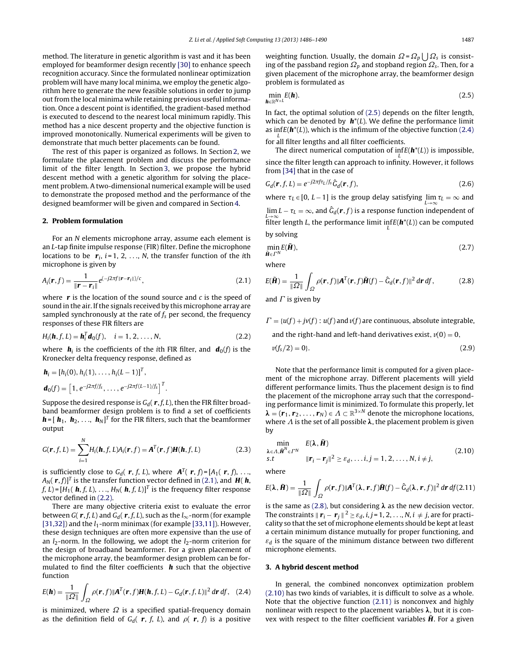method. The literature in genetic algorithm is vast and it has been employed for beamformer design recently [\[30\]](#page--1-0) to enhance speech recognition accuracy. Since the formulated nonlinear optimization problem will have many local minima, we employ the genetic algorithm here to generate the new feasible solutions in order to jump out from the local minima while retaining previous useful information. Once a descent point is identified, the gradient-based method is executed to descend to the nearest local minimum rapidly. This method has a nice descent property and the objective function is improved monotonically. Numerical experiments will be given to demonstrate that much better placements can be found.

The rest of this paper is organized as follows. In Section 2, we formulate the placement problem and discuss the performance limit of the filter length. In Section 3, we propose the hybrid descent method with a genetic algorithm for solving the placement problem. A two-dimensional numerical example will be used to demonstrate the proposed method and the performance of the designed beamformer will be given and compared in Section [4.](#page--1-0)

#### **2. Problem formulation**

For an N elements microphone array, assume each element is an L-tap finite impulse response (FIR) filter. Define the microphone locations to be  $r_i$ ,  $i = 1, 2, \ldots, N$ , the transfer function of the *i*th microphone is given by

$$
A_i(\mathbf{r}, f) = \frac{1}{\|\mathbf{r} - \mathbf{r}_i\|} e^{(-j2\pi f ||\mathbf{r} - \mathbf{r}_i||)/c},
$$
\n(2.1)

where **r** is the location of the sound source and c is the speed of sound in the air. If the signals received by this microphone array are sampled synchronously at the rate of  $f_s$  per second, the frequency responses of these FIR filters are

$$
H_i(\mathbf{h}, f, L) = \mathbf{h}_i^T \mathbf{d}_0(f), \quad i = 1, 2, ..., N,
$$
 (2.2)

where  $h_i$  is the coefficients of the *i*th FIR filter, and  $d_0(f)$  is the Kronecker delta frequency response, defined as

$$
\begin{aligned} \mathbf{h}_i &= \left[ h_i(0), h_i(1), \dots, h_i(L-1) \right]^T, \\ \mathbf{d}_0(f) &= \left[ 1, e^{-j2\pi f/f_s}, \dots, e^{-j2\pi f(L-1)/f_s} \right]^T. \end{aligned}
$$

Suppose the desired response is  $G_d(\mathbf{r}, f, L)$ , then the FIR filter broadband beamformer design problem is to find a set of coefficients  $\boldsymbol{h}$  =  $[\boldsymbol{h}_1, \boldsymbol{h}_2, \ldots, \boldsymbol{h}_N]^T$  for the FIR filters, such that the beamformer output

$$
G(\mathbf{r},f,L) = \sum_{i=1}^{N} H_i(\mathbf{h},f,L)A_i(\mathbf{r},f) = \mathbf{A}^{T}(\mathbf{r},f)\mathbf{H}(\mathbf{h},f,L)
$$
(2.3)

is sufficiently close to  $G_d(\mathbf{r}, f, L)$ , where  $\mathbf{A}^T(\mathbf{r}, f) = [A_1(\mathbf{r}, f), \ldots, A_n]$  $A_N(\mathbf{r},f)$ <sup>T</sup> is the transfer function vector defined in (2.1), and **H**( $\mathbf{h}$ ,  $f, L$  =  $[H_1(\mathbf{h}, f, L), \ldots, H_N(\mathbf{h}, f, L)]^T$  is the frequency filter response vector defined in (2.2).

There are many objective criteria exist to evaluate the error between  $G(\mathbf{r}, f, L)$  and  $G_d(\mathbf{r}, f, L)$ , such as the  $l_{\infty}$ -norm (for example [\[31,32\]\)](#page--1-0) and the  $l_1$ -norm minimax (for example [\[33,11\]\).](#page--1-0) However, these design techniques are often more expensive than the use of an  $l_2$ -norm. In the following, we adopt the  $l_2$ -norm criterion for the design of broadband beamformer. For a given placement of the microphone array, the beamformer design problem can be formulated to find the filter coefficients **h** such that the objective function

$$
E(\boldsymbol{h}) = \frac{1}{\|\Omega\|} \int_{\Omega} \rho(\boldsymbol{r}, f) \|\boldsymbol{A}^{T}(\boldsymbol{r}, f)\boldsymbol{H}(\boldsymbol{h}, f, L) - G_{d}(\boldsymbol{r}, f, L)\|^{2} d\boldsymbol{r} df, \quad (2.4)
$$

is minimized, where  $\Omega$  is a specified spatial-frequency domain as the definition field of  $G_d$ ( **r**, f, L), and  $\rho$ ( **r**, f) is a positive

weighting function. Usually, the domain  $\Omega = \Omega_p \bigcup \Omega_s$  is consisting of the passband region  $\Omega_p$  and stopband region  $\Omega_s$ . Then, for a given placement of the microphone array, the beamformer design problem is formulated as

$$
\min_{\mathbf{h}\in\mathbb{R}^{N\times L}} E(\mathbf{h}).\tag{2.5}
$$

In fact, the optimal solution of (2.5) depends on the filter length, which can be denoted by  $h^*(L)$ . We define the performance limit as inf $E(\mathbf{h}^*(L))$ , which is the infimum of the objective function (2.4)

for all filter lengths and all filter coefficients.

The direct numerical computation of  $\inf_L E(\mathbf{h}^*(L))$  is impossible, since the filter length can approach to infinity. However, it follows from [\[34\]](#page--1-0) that in the case of

$$
G_d(\mathbf{r}, f, L) = e^{-j2\pi f \tau_L / f_S} \hat{G}_d(\mathbf{r}, f),
$$
\n(2.6)

where  $\tau_L \in [0, L - 1]$  is the group delay satisfying  $\lim_{L \to \infty} \tau_L = \infty$  and  $\lim_{L\to\infty} L-\tau_L=\infty$ , and  $\widehat{G}_d(\bm{r},f)$  is a response function independent of filter length *L*, the performance limit  $\inf_L E(\bm{h}^*(L))$  can be computed by solving

$$
\min_{\tilde{\mathbf{H}} \in \Gamma^N} E(\tilde{\mathbf{H}}),\tag{2.7}
$$

where

$$
E(\tilde{\mathbf{H}}) = \frac{1}{\|\Omega\|} \int_{\Omega} \rho(\mathbf{r}, f) |\mathbf{A}^T(\mathbf{r}, f) \tilde{\mathbf{H}}(f) - \hat{G}_d(\mathbf{r}, f)|^2 \, d\mathbf{r} \, df, \tag{2.8}
$$

and  $\Gamma$  is given by

$$
\Gamma = \{u(f) + jv(f) : u(f)
$$
 and  $v(f)$  are continuous, absolute integrable,

and the right-hand and left-hand derivatives exist,  $v(0) = 0$ ,

$$
v(f_s/2) = 0\}.
$$
 (2.9)

Note that the performance limit is computed for a given placement of the microphone array. Different placements will yield different performance limits. Thus the placement design is to find the placement of the microphone array such that the corresponding performance limit is minimized. To formulate this properly, let  $\lambda = (r_1, r_2, \ldots, r_N) \in \Lambda \subset \mathbb{R}^{3 \times N}$  denote the microphone locations, where  $\Lambda$  is the set of all possible  $\lambda$ , the placement problem is given by

$$
\min_{\lambda \in \Lambda, \tilde{\mathbf{H}}^N \in \Gamma^N} \quad E(\lambda, \tilde{\mathbf{H}})
$$
\n
$$
\text{s.t} \quad \|\mathbf{r}_i - \mathbf{r}_j\|^2 \ge \varepsilon_d, \dots, i, j = 1, 2, \dots, N, i \neq j,
$$
\n
$$
(2.10)
$$

where

$$
E(\lambda, \tilde{\boldsymbol{H}}) = \frac{1}{\|\Omega\|} \int_{\Omega} \rho(\boldsymbol{r}, f) \|\boldsymbol{A}^{T}(\lambda, \boldsymbol{r}, f) \tilde{\boldsymbol{H}}(f) - \hat{G}_{d}(\lambda, \boldsymbol{r}, f)\|^{2} d\boldsymbol{r} df(2.11)
$$

is the same as (2.8), but considering  $\lambda$  as the new decision vector. The constraints  $\|\mathbf{r}_i - \mathbf{r}_j\|^2 \ge \varepsilon_d$ , *i*, *j* = 1, 2, . . ., *N*, *i*  $\neq$  *j*, are for practicality so that the set of microphone elements should be kept at least a certain minimum distance mutually for proper functioning, and  $\varepsilon_d$  is the square of the minimum distance between two different microphone elements.

#### **3. A hybrid descent method**

In general, the combined nonconvex optimization problem (2.10) has two kinds of variables, it is difficult to solve as a whole. Note that the objective function (2.11) is nonconvex and highly nonlinear with respect to the placement variables  $\lambda$ , but it is convex with respect to the filter coefficient variables **H**. For a given